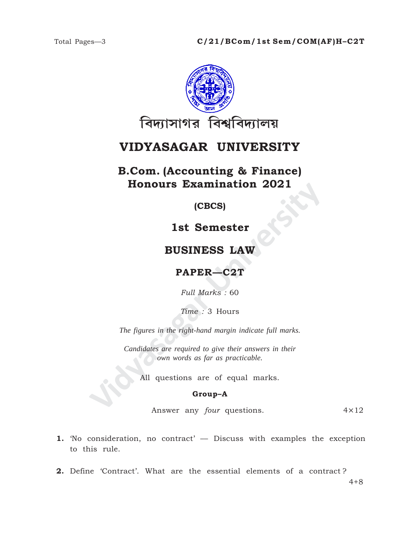

# VIDYASAGAR UNIVERSITY

### **B.Com.** (Accounting & Finance) **Honours Examination 2021**

 $(CECS)$ 

1st Semester

### **BUSINESS LAW**

## PAPER-C2T

Full Marks: 60

Time: 3 Hours

The figures in the right-hand margin indicate full marks.

Candidates are required to give their answers in their own words as far as practicable.

All questions are of equal marks.

#### Group-A

Answer any four questions.  $4 \times 12$ 

- 1. Tho consideration, no contract' Discuss with examples the exception to this rule.
- 2. Define 'Contract'. What are the essential elements of a contract?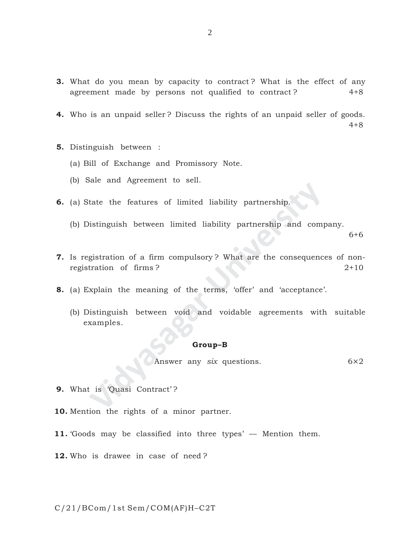- **3.** What do you mean by capacity to contract ? What is the effect of any agreement made by persons not qualified to contract? 4+8
- **4.** Who is an unpaid seller ? Discuss the rights of an unpaid seller of goods. 4+8
- **5.** Distinguish between :
	- (a) Bill of Exchange and Promissory Note.
	- (b) Sale and Agreement to sell.
- **6.** (a) State the features of limited liability partnership.
	- (b) Distinguish between limited liability partnership and company.

6+6

- **7.** Is registration of a firm compulsory ? What are the consequences of nonregistration of firms ? 2+10
- **8.** (a) Explain the meaning of the terms, 'offer' and 'acceptance'.
- tate the features of limited liability partnership.<br>
Sistinguish between limited liability partnership and comp<br>
gistration of a firm compulsory? What are the consequence<br>
tration of firms?<br>
xplain the meaning of the terms (b) Distinguish between void and voidable agreements with suitable examples.

#### **Group–B**

Answer any *six* questions. 6×2

- **9.** What is 'Quasi Contract'?
- **10.** Mention the rights of a minor partner.
- 11. 'Goods may be classified into three types' Mention them.
- **12.** Who is drawee in case of need ?

#### C/21/BCom/1st Sem/COM(AF)H–C2T